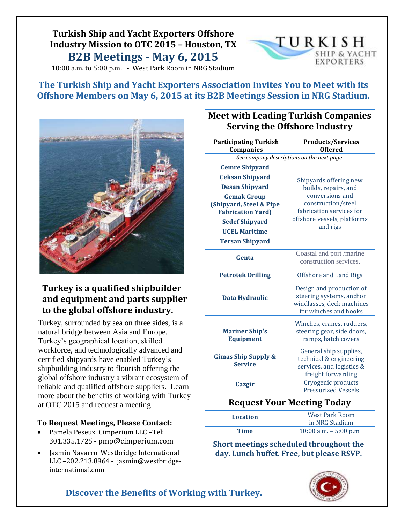# **Turkish Ship and Yacht Exporters Offshore Industry Mission to OTC 2015 – Houston, TX B2B Meetings - May 6, 2015**

10:00 a.m. to 5:00 p.m. - West Park Room in NRG Stadium



**The Turkish Ship and Yacht Exporters Association Invites You to Meet with its Offshore Members on May 6, 2015 at its B2B Meetings Session in NRG Stadium.**



## **Turkey is a qualified shipbuilder and equipment and parts supplier to the global offshore industry.**

Turkey, surrounded by sea on three sides, is a natural bridge between Asia and Europe. Turkey's geographical location, skilled workforce, and technologically advanced and certified shipyards have enabled Turkey's shipbuilding industry to flourish offering the global offshore industry a vibrant ecosystem of reliable and qualified offshore suppliers. Learn more about the benefits of working with Turkey at OTC 2015 and request a meeting.

### **To Request Meetings, Please Contact:**

- **•** Pamela Peseux Cimperium LLC -Tel: 301.335.1725 - [pmp@cimperium.com](mailto:pmp@cimperium.com) **Turkish suppliers.**
- Jasmin Navarro Westbridge International **.** LLC –202.213.8964 - jasmin@westbridgeinternational.com

202.213.8964 -Email: jasmin@westbridge-international.com

## **Meet with Leading Turkish Companies Serving the Offshore Industry**

| <b>Participating Turkish</b>               | <b>Products/Services</b>                                           |  |  |
|--------------------------------------------|--------------------------------------------------------------------|--|--|
| Companies                                  | <b>Offered</b>                                                     |  |  |
| See company descriptions on the next page. |                                                                    |  |  |
| <b>Cemre Shipyard</b>                      |                                                                    |  |  |
| <b>Çeksan Shipyard</b>                     | Shipyards offering new                                             |  |  |
| <b>Desan Shipyard</b>                      | builds, repairs, and                                               |  |  |
| <b>Gemak Group</b>                         | conversions and                                                    |  |  |
| (Shipyard, Steel & Pipe                    | construction/steel                                                 |  |  |
| <b>Fabrication Yard)</b>                   | fabrication services for                                           |  |  |
| <b>Sedef Shipyard</b>                      | offshore vessels, platforms<br>and rigs                            |  |  |
| <b>UCEL Maritime</b>                       |                                                                    |  |  |
| <b>Tersan Shipyard</b>                     |                                                                    |  |  |
| Genta                                      | Coastal and port /marine                                           |  |  |
|                                            | construction services.                                             |  |  |
| <b>Petrotek Drilling</b>                   | Offshore and Land Rigs                                             |  |  |
|                                            | Design and production of                                           |  |  |
| <b>Data Hydraulic</b>                      | steering systems, anchor                                           |  |  |
|                                            | windlasses, deck machines                                          |  |  |
|                                            | for winches and hooks                                              |  |  |
|                                            | Winches, cranes, rudders,                                          |  |  |
| <b>Mariner Ship's</b>                      | steering gear, side doors,                                         |  |  |
| <b>Equipment</b>                           | ramps, hatch covers                                                |  |  |
|                                            | General ship supplies,                                             |  |  |
| <b>Gimas Ship Supply &amp;</b>             | technical & engineering                                            |  |  |
| <b>Service</b>                             | services, and logistics &                                          |  |  |
|                                            | freight forwarding                                                 |  |  |
| Cazgir                                     | Cryogenic products                                                 |  |  |
|                                            | <b>Pressurized Vessels</b>                                         |  |  |
| <b>Request Your Meeting Today</b>          |                                                                    |  |  |
| <b>Location</b>                            | <b>West Park Room</b>                                              |  |  |
|                                            | in NRG Stadium                                                     |  |  |
| Time                                       | $10:00$ a.m. $-5:00$ p.m.                                          |  |  |
|                                            | $\mathbf{I} = \mathbf{I} + \mathbf{I}$ , $\mathbf{I} = \mathbf{I}$ |  |  |

**Short meetings scheduled throughout the day. Lunch buffet. Free, but please RSVP.**



## **Discover the Benefits of Working with Turkey.**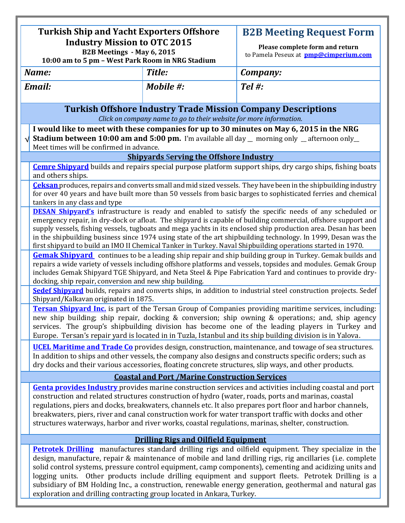| <b>Turkish Ship and Yacht Exporters Offshore</b><br><b>Industry Mission to OTC 2015</b><br>B2B Meetings - May 6, 2015<br>10:00 am to 5 pm - West Park Room in NRG Stadium                                                                                                                                                                                                                                                                                                                                                                                                                                                                                                                                                                                                                                                                                                                                                                                                                                                                                                                                                                                                                                                                                                                                                                                                                                                                                                                                                                                                                       |           | <b>B2B Meeting Request Form</b><br>Please complete form and return<br>to Pamela Peseux at pmp@cimperium.com |
|-------------------------------------------------------------------------------------------------------------------------------------------------------------------------------------------------------------------------------------------------------------------------------------------------------------------------------------------------------------------------------------------------------------------------------------------------------------------------------------------------------------------------------------------------------------------------------------------------------------------------------------------------------------------------------------------------------------------------------------------------------------------------------------------------------------------------------------------------------------------------------------------------------------------------------------------------------------------------------------------------------------------------------------------------------------------------------------------------------------------------------------------------------------------------------------------------------------------------------------------------------------------------------------------------------------------------------------------------------------------------------------------------------------------------------------------------------------------------------------------------------------------------------------------------------------------------------------------------|-----------|-------------------------------------------------------------------------------------------------------------|
| Name:                                                                                                                                                                                                                                                                                                                                                                                                                                                                                                                                                                                                                                                                                                                                                                                                                                                                                                                                                                                                                                                                                                                                                                                                                                                                                                                                                                                                                                                                                                                                                                                           | Title:    | Company:                                                                                                    |
| <b>Email:</b>                                                                                                                                                                                                                                                                                                                                                                                                                                                                                                                                                                                                                                                                                                                                                                                                                                                                                                                                                                                                                                                                                                                                                                                                                                                                                                                                                                                                                                                                                                                                                                                   | Mobile #: | Tel #:                                                                                                      |
| <b>Turkish Offshore Industry Trade Mission Company Descriptions</b>                                                                                                                                                                                                                                                                                                                                                                                                                                                                                                                                                                                                                                                                                                                                                                                                                                                                                                                                                                                                                                                                                                                                                                                                                                                                                                                                                                                                                                                                                                                             |           |                                                                                                             |
| Click on company name to go to their website for more information.<br>I would like to meet with these companies for up to 30 minutes on May 6, 2015 in the NRG<br><b>Stadium between 10:00 am and 5:00 pm.</b> I'm available all day _ morning only _ afternoon only_<br>Meet times will be confirmed in advance.                                                                                                                                                                                                                                                                                                                                                                                                                                                                                                                                                                                                                                                                                                                                                                                                                                                                                                                                                                                                                                                                                                                                                                                                                                                                               |           |                                                                                                             |
| <b>Shipvards Serving the Offshore Industry</b>                                                                                                                                                                                                                                                                                                                                                                                                                                                                                                                                                                                                                                                                                                                                                                                                                                                                                                                                                                                                                                                                                                                                                                                                                                                                                                                                                                                                                                                                                                                                                  |           |                                                                                                             |
| <b>Cemre Shipvard</b> builds and repairs special purpose platform support ships, dry cargo ships, fishing boats<br>and others ships.                                                                                                                                                                                                                                                                                                                                                                                                                                                                                                                                                                                                                                                                                                                                                                                                                                                                                                                                                                                                                                                                                                                                                                                                                                                                                                                                                                                                                                                            |           |                                                                                                             |
| Ceksan produces, repairs and converts small and mid sized vessels. They have been in the shipbuilding industry<br>for over 40 years and have built more than 50 vessels from basic barges to sophisticated ferries and chemical<br>tankers in any class and type                                                                                                                                                                                                                                                                                                                                                                                                                                                                                                                                                                                                                                                                                                                                                                                                                                                                                                                                                                                                                                                                                                                                                                                                                                                                                                                                |           |                                                                                                             |
| <b>DESAN Shipvard's</b> infrastructure is ready and enabled to satisfy the specific needs of any scheduled or<br>emergency repair, in dry-dock or afloat. The shipyard is capable of building commercial, offshore support and<br>supply vessels, fishing vessels, tugboats and mega yachts in its enclosed ship production area. Desan has been<br>in the shipbuilding business since 1974 using state of the art shipbuilding technology. In 1999, Desan was the<br>first shipyard to build an IMO II Chemical Tanker in Turkey. Naval Shipbuilding operations started in 1970.<br><b>Gemak Shipvard</b> continues to be a leading ship repair and ship building group in Turkey. Gemak builds and<br>repairs a wide variety of vessels including offshore platforms and vessels, topsides and modules. Gemak Group<br>includes Gemak Shipyard TGE Shipyard, and Neta Steel & Pipe Fabrication Yard and continues to provide dry-<br>docking, ship repair, conversion and new ship building.<br>Sedef Shipvard builds, repairs and converts ships, in addition to industrial steel construction projects. Sedef<br>Shipyard/Kalkavan originated in 1875.<br><b>Tersan Shipvard Inc.</b> is part of the Tersan Group of Companies providing maritime services, including:<br>new ship building; ship repair, docking & conversion; ship owning & operations; and, ship agency<br>services. The group's shipbuilding division has become one of the leading players in Turkey and<br>Europe. Tersan's repair yard is located in in Tuzla, Istanbul and its ship building division is in Yalova. |           |                                                                                                             |
| <b>UCEL Maritime and Trade Co</b> provides design, construction, maintenance, and towage of sea structures.<br>In addition to ships and other vessels, the company also designs and constructs specific orders; such as<br>dry docks and their various accessories, floating concrete structures, slip ways, and other products.                                                                                                                                                                                                                                                                                                                                                                                                                                                                                                                                                                                                                                                                                                                                                                                                                                                                                                                                                                                                                                                                                                                                                                                                                                                                |           |                                                                                                             |
| <b>Coastal and Port /Marine Construction Services</b>                                                                                                                                                                                                                                                                                                                                                                                                                                                                                                                                                                                                                                                                                                                                                                                                                                                                                                                                                                                                                                                                                                                                                                                                                                                                                                                                                                                                                                                                                                                                           |           |                                                                                                             |
| <b>Genta provides Industry</b> provides marine construction services and activities including coastal and port<br>construction and related structures construction of hydro (water, roads, ports and marinas, coastal<br>regulations, piers and docks, breakwaters, channels etc. It also prepares port floor and harbor channels,<br>breakwaters, piers, river and canal construction work for water transport traffic with docks and other<br>structures waterways, harbor and river works, coastal regulations, marinas, shelter, construction.                                                                                                                                                                                                                                                                                                                                                                                                                                                                                                                                                                                                                                                                                                                                                                                                                                                                                                                                                                                                                                              |           |                                                                                                             |
| <b>Drilling Rigs and Oilfield Equipment</b>                                                                                                                                                                                                                                                                                                                                                                                                                                                                                                                                                                                                                                                                                                                                                                                                                                                                                                                                                                                                                                                                                                                                                                                                                                                                                                                                                                                                                                                                                                                                                     |           |                                                                                                             |
| Petrotek Drilling manufactures standard drilling rigs and oilfield equipment. They specialize in the<br>design, manufacture, repair & maintenance of mobile and land drilling rigs, rig ancillaries (i.e. complete<br>solid control systems, pressure control equipment, camp components), cementing and acidizing units and<br>logging units. Other products include drilling equipment and support fleets. Petrotek Drilling is a<br>subsidiary of BM Holding Inc., a construction, renewable energy generation, geothermal and natural gas<br>exploration and drilling contracting group located in Ankara, Turkey.                                                                                                                                                                                                                                                                                                                                                                                                                                                                                                                                                                                                                                                                                                                                                                                                                                                                                                                                                                          |           |                                                                                                             |